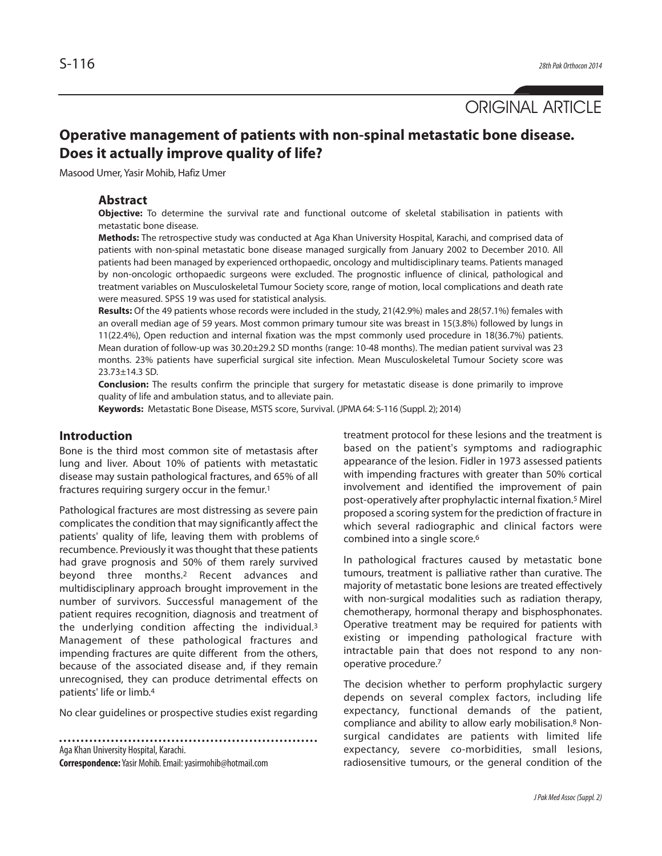ORIGINAL ARTICLE

# **Operative management of patients with non-spinal metastatic bone disease. Does it actually improve quality of life?**

Masood Umer, Yasir Mohib, Hafiz Umer

### **Abstract**

**Objective:** To determine the survival rate and functional outcome of skeletal stabilisation in patients with metastatic bone disease.

**Methods:** The retrospective study was conducted at Aga Khan University Hospital, Karachi, and comprised data of patients with non-spinal metastatic bone disease managed surgically from January 2002 to December 2010. All patients had been managed by experienced orthopaedic, oncology and multidisciplinary teams. Patients managed by non-oncologic orthopaedic surgeons were excluded. The prognostic influence of clinical, pathological and treatment variables on Musculoskeletal Tumour Society score, range of motion, local complications and death rate were measured. SPSS 19 was used for statistical analysis.

**Results:** Of the 49 patients whose records were included in the study, 21(42.9%) males and 28(57.1%) females with an overall median age of 59 years. Most common primary tumour site was breast in 15(3.8%) followed by lungs in 11(22.4%), Open reduction and internal fixation was the mpst commonly used procedure in 18(36.7%) patients. Mean duration of follow-up was 30.20±29.2 SD months (range: 10-48 months). The median patient survival was 23 months. 23% patients have superficial surgical site infection. Mean Musculoskeletal Tumour Society score was 23.73±14.3 SD.

**Conclusion:** The results confirm the principle that surgery for metastatic disease is done primarily to improve quality of life and ambulation status, and to alleviate pain.

**Keywords:** Metastatic Bone Disease, MSTS score, Survival. (JPMA 64: S-116 (Suppl. 2); 2014)

# **Introduction**

Bone is the third most common site of metastasis after lung and liver. About 10% of patients with metastatic disease may sustain pathological fractures, and 65% of all fractures requiring surgery occur in the femur.<sup>1</sup>

Pathological fractures are most distressing as severe pain complicates the condition that may significantly affect the patients' quality of life, leaving them with problems of recumbence. Previously it was thought that these patients had grave prognosis and 50% of them rarely survived beyond three months.<sup>2</sup> Recent advances and multidisciplinary approach brought improvement in the number of survivors. Successful management of the patient requires recognition, diagnosis and treatment of the underlying condition affecting the individual.<sup>3</sup> Management of these pathological fractures and impending fractures are quite different from the others, because of the associated disease and, if they remain unrecognised, they can produce detrimental effects on patients' life or limb.<sup>4</sup>

No clear guidelines or prospective studies exist regarding

Aga Khan University Hospital, Karachi.

**Correspondence:**Yasir Mohib. Email: yasirmohib@hotmail.com

treatment protocol for these lesions and the treatment is based on the patient's symptoms and radiographic appearance of the lesion. Fidler in 1973 assessed patients with impending fractures with greater than 50% cortical involvement and identified the improvement of pain post-operatively after prophylactic internal fixation.<sup>5</sup> Mirel proposed a scoring system for the prediction of fracture in which several radiographic and clinical factors were combined into a single score.<sup>6</sup>

In pathological fractures caused by metastatic bone tumours, treatment is palliative rather than curative. The majority of metastatic bone lesions are treated effectively with non-surgical modalities such as radiation therapy, chemotherapy, hormonal therapy and bisphosphonates. Operative treatment may be required for patients with existing or impending pathological fracture with intractable pain that does not respond to any nonoperative procedure.<sup>7</sup>

The decision whether to perform prophylactic surgery depends on several complex factors, including life expectancy, functional demands of the patient, compliance and ability to allow early mobilisation.<sup>8</sup> Nonsurgical candidates are patients with limited life expectancy, severe co-morbidities, small lesions, radiosensitive tumours, or the general condition of the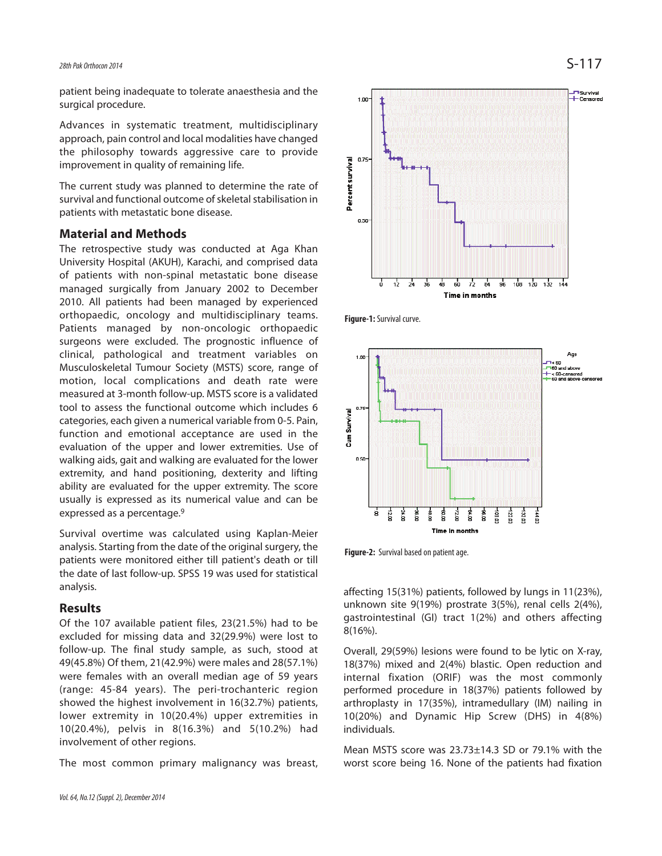patient being inadequate to tolerate anaesthesia and the surgical procedure.

Advances in systematic treatment, multidisciplinary approach, pain control and local modalities have changed the philosophy towards aggressive care to provide improvement in quality of remaining life.

The current study was planned to determine the rate of survival and functional outcome of skeletal stabilisation in patients with metastatic bone disease.

#### **Material and Methods**

The retrospective study was conducted at Aga Khan University Hospital (AKUH), Karachi, and comprised data of patients with non-spinal metastatic bone disease managed surgically from January 2002 to December 2010. All patients had been managed by experienced orthopaedic, oncology and multidisciplinary teams. Patients managed by non-oncologic orthopaedic surgeons were excluded. The prognostic influence of clinical, pathological and treatment variables on Musculoskeletal Tumour Society (MSTS) score, range of motion, local complications and death rate were measured at 3-month follow-up. MSTS score is a validated tool to assess the functional outcome which includes 6 categories, each given a numerical variable from 0-5. Pain, function and emotional acceptance are used in the evaluation of the upper and lower extremities. Use of walking aids, gait and walking are evaluated for the lower extremity, and hand positioning, dexterity and lifting ability are evaluated for the upper extremity. The score usually is expressed as its numerical value and can be expressed as a percentage.<sup>9</sup>

Survival overtime was calculated using Kaplan-Meier analysis. Starting from the date of the original surgery, the patients were monitored either till patient's death or till the date of last follow-up. SPSS 19 was used for statistical analysis.

#### **Results**

Of the 107 available patient files, 23(21.5%) had to be excluded for missing data and 32(29.9%) were lost to follow-up. The final study sample, as such, stood at 49(45.8%) Of them, 21(42.9%) were males and 28(57.1%) were females with an overall median age of 59 years (range: 45-84 years). The peri-trochanteric region showed the highest involvement in 16(32.7%) patients, lower extremity in 10(20.4%) upper extremities in 10(20.4%), pelvis in 8(16.3%) and 5(10.2%) had involvement of other regions.

The most common primary malignancy was breast,



**Figure-1:** Survival curve.



**Figure-2:** Survival based on patient age.

affecting 15(31%) patients, followed by lungs in 11(23%), unknown site 9(19%) prostrate 3(5%), renal cells 2(4%), gastrointestinal (GI) tract 1(2%) and others affecting 8(16%).

Overall, 29(59%) lesions were found to be lytic on X-ray, 18(37%) mixed and 2(4%) blastic. Open reduction and internal fixation (ORIF) was the most commonly performed procedure in 18(37%) patients followed by arthroplasty in 17(35%), intramedullary (IM) nailing in 10(20%) and Dynamic Hip Screw (DHS) in 4(8%) individuals.

Mean MSTS score was 23.73±14.3 SD or 79.1% with the worst score being 16. None of the patients had fixation